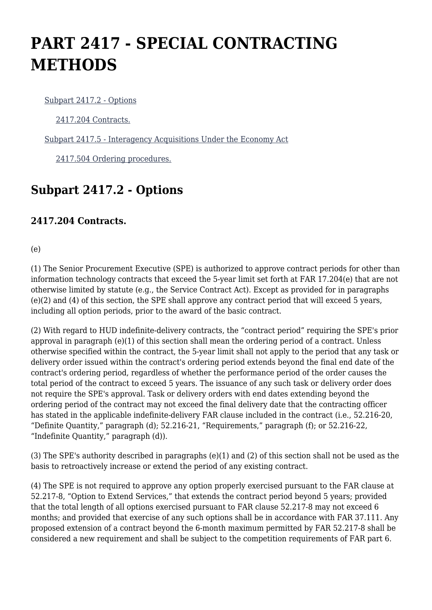# **PART 2417 - SPECIAL CONTRACTING METHODS**

[Subpart 2417.2 - Options](https://origin-www.acquisition.gov/%5Brp:link:hudar-part-2417%5D#Subpart_2417_2_T48_60950161)

[2417.204 Contracts.](https://origin-www.acquisition.gov/%5Brp:link:hudar-part-2417%5D#Section_2417_204_T48_6095016111)

[Subpart 2417.5 - Interagency Acquisitions Under the Economy Act](https://origin-www.acquisition.gov/%5Brp:link:hudar-part-2417%5D#Subpart_2417_5_T48_60950162)

[2417.504 Ordering procedures.](https://origin-www.acquisition.gov/%5Brp:link:hudar-part-2417%5D#Section_2417_504_T48_6095016211)

## **Subpart 2417.2 - Options**

#### **2417.204 Contracts.**

(e)

(1) The Senior Procurement Executive (SPE) is authorized to approve contract periods for other than information technology contracts that exceed the 5-year limit set forth at FAR 17.204(e) that are not otherwise limited by statute (e.g., the Service Contract Act). Except as provided for in paragraphs (e)(2) and (4) of this section, the SPE shall approve any contract period that will exceed 5 years, including all option periods, prior to the award of the basic contract.

(2) With regard to HUD indefinite-delivery contracts, the "contract period" requiring the SPE's prior approval in paragraph (e)(1) of this section shall mean the ordering period of a contract. Unless otherwise specified within the contract, the 5-year limit shall not apply to the period that any task or delivery order issued within the contract's ordering period extends beyond the final end date of the contract's ordering period, regardless of whether the performance period of the order causes the total period of the contract to exceed 5 years. The issuance of any such task or delivery order does not require the SPE's approval. Task or delivery orders with end dates extending beyond the ordering period of the contract may not exceed the final delivery date that the contracting officer has stated in the applicable indefinite-delivery FAR clause included in the contract (i.e., 52.216-20, "Definite Quantity," paragraph (d); 52.216-21, "Requirements," paragraph (f); or 52.216-22, "Indefinite Quantity," paragraph (d)).

(3) The SPE's authority described in paragraphs (e)(1) and (2) of this section shall not be used as the basis to retroactively increase or extend the period of any existing contract.

(4) The SPE is not required to approve any option properly exercised pursuant to the FAR clause at 52.217-8, "Option to Extend Services," that extends the contract period beyond 5 years; provided that the total length of all options exercised pursuant to FAR clause 52.217-8 may not exceed 6 months; and provided that exercise of any such options shall be in accordance with FAR 37.111. Any proposed extension of a contract beyond the 6-month maximum permitted by FAR 52.217-8 shall be considered a new requirement and shall be subject to the competition requirements of FAR part 6.